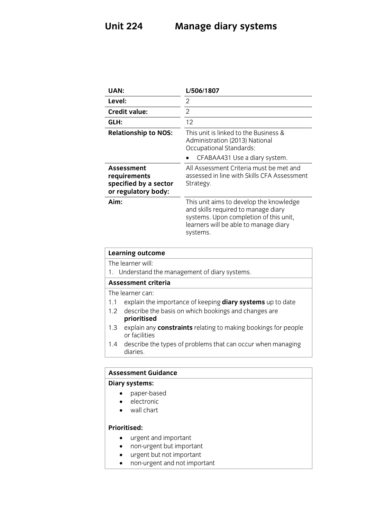## **Unit 224 Manage diary systems**

|                             | <b>UAN:</b>                                                                |                                                                                                           |
|-----------------------------|----------------------------------------------------------------------------|-----------------------------------------------------------------------------------------------------------|
| Level:                      |                                                                            | $\overline{2}$                                                                                            |
|                             | <b>Credit value:</b>                                                       | $\overline{2}$                                                                                            |
| GLH:                        |                                                                            | 12                                                                                                        |
| <b>Relationship to NOS:</b> |                                                                            | This unit is linked to the Business &<br>Administration (2013) National<br><b>Occupational Standards:</b> |
|                             |                                                                            | CFABAA431 Use a diary system.                                                                             |
|                             | Assessment<br>requirements<br>specified by a sector<br>or regulatory body: | All Assessment Criteria must be met and<br>assessed in line with Skills CFA Assessment<br>Strategy.       |
| Aim:                        |                                                                            | This unit aims to develop the knowledge<br>and skills required to manage diary                            |
|                             |                                                                            | systems. Upon completion of this unit,<br>learners will be able to manage diary<br>systems.               |
|                             | <b>Learning outcome</b>                                                    |                                                                                                           |
|                             | The learner will:                                                          |                                                                                                           |
| 1.                          |                                                                            | Understand the management of diary systems.                                                               |
|                             | <b>Assessment criteria</b>                                                 |                                                                                                           |
|                             | The learner can:                                                           |                                                                                                           |
| 1.1                         |                                                                            | explain the importance of keeping <b>diary systems</b> up to date                                         |
| 1.2                         | prioritised                                                                | describe the basis on which bookings and changes are                                                      |
| 1.3                         | or facilities                                                              | explain any <b>constraints</b> relating to making bookings for people                                     |

## **Diary systems:**

- **o** paper-based<br> **e** electronic
	- electronic
	- wall chart

- urgent and important
	- non-urgent but important
	- urgent but not important
	- non-urgent and not important